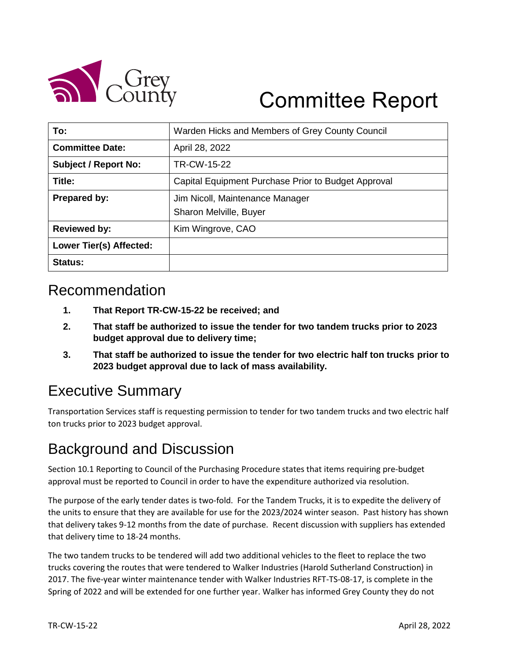

# Committee Report

| To:                         | Warden Hicks and Members of Grey County Council     |  |
|-----------------------------|-----------------------------------------------------|--|
| <b>Committee Date:</b>      | April 28, 2022                                      |  |
| <b>Subject / Report No:</b> | TR-CW-15-22                                         |  |
| Title:                      | Capital Equipment Purchase Prior to Budget Approval |  |
| <b>Prepared by:</b>         | Jim Nicoll, Maintenance Manager                     |  |
|                             | Sharon Melville, Buyer                              |  |
| <b>Reviewed by:</b>         | Kim Wingrove, CAO                                   |  |
| Lower Tier(s) Affected:     |                                                     |  |
| <b>Status:</b>              |                                                     |  |

#### Recommendation

- **1. That Report TR-CW-15-22 be received; and**
- **2. That staff be authorized to issue the tender for two tandem trucks prior to 2023 budget approval due to delivery time;**
- **3. That staff be authorized to issue the tender for two electric half ton trucks prior to 2023 budget approval due to lack of mass availability.**

# Executive Summary

Transportation Services staff is requesting permission to tender for two tandem trucks and two electric half ton trucks prior to 2023 budget approval.

# Background and Discussion

Section 10.1 Reporting to Council of the Purchasing Procedure states that items requiring pre-budget approval must be reported to Council in order to have the expenditure authorized via resolution.

The purpose of the early tender dates is two-fold. For the Tandem Trucks, it is to expedite the delivery of the units to ensure that they are available for use for the 2023/2024 winter season. Past history has shown that delivery takes 9-12 months from the date of purchase. Recent discussion with suppliers has extended that delivery time to 18-24 months.

The two tandem trucks to be tendered will add two additional vehicles to the fleet to replace the two trucks covering the routes that were tendered to Walker Industries (Harold Sutherland Construction) in 2017. The five-year winter maintenance tender with Walker Industries RFT-TS-08-17, is complete in the Spring of 2022 and will be extended for one further year. Walker has informed Grey County they do not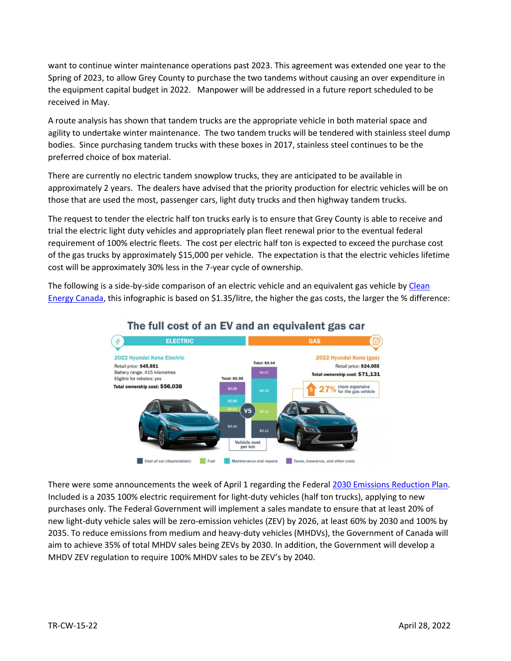want to continue winter maintenance operations past 2023. This agreement was extended one year to the Spring of 2023, to allow Grey County to purchase the two tandems without causing an over expenditure in the equipment capital budget in 2022. Manpower will be addressed in a future report scheduled to be received in May.

A route analysis has shown that tandem trucks are the appropriate vehicle in both material space and agility to undertake winter maintenance. The two tandem trucks will be tendered with stainless steel dump bodies. Since purchasing tandem trucks with these boxes in 2017, stainless steel continues to be the preferred choice of box material.

There are currently no electric tandem snowplow trucks, they are anticipated to be available in approximately 2 years. The dealers have advised that the priority production for electric vehicles will be on those that are used the most, passenger cars, light duty trucks and then highway tandem trucks.

The request to tender the electric half ton trucks early is to ensure that Grey County is able to receive and trial the electric light duty vehicles and appropriately plan fleet renewal prior to the eventual federal requirement of 100% electric fleets. The cost per electric half ton is expected to exceed the purchase cost of the gas trucks by approximately \$15,000 per vehicle. The expectation is that the electric vehicles lifetime cost will be approximately 30% less in the 7-year cycle of ownership.

The following is a side-by-side comparison of an electric vehicle and an equivalent gas vehicle by [Clean](https://cleanenergycanada.org/report/the-true-cost/)  [Energy Canada,](https://cleanenergycanada.org/report/the-true-cost/) this infographic is based on \$1.35/litre, the higher the gas costs, the larger the % difference:



#### The full cost of an EV and an equivalent gas car

There were some announcements the week of April 1 regarding the Federal [2030 Emissions Reduction Plan.](https://www.canada.ca/en/environment-climate-change/news/2022/03/2030-emissions-reduction-plan--canadas-next-steps-for-clean-air-and-a-strong-economy.html) Included is a 2035 100% electric requirement for light-duty vehicles (half ton trucks), applying to new purchases only. The Federal Government will implement a sales mandate to ensure that at least 20% of new light-duty vehicle sales will be zero-emission vehicles (ZEV) by 2026, at least 60% by 2030 and 100% by 2035. To reduce emissions from medium and heavy-duty vehicles (MHDVs), the Government of Canada will aim to achieve 35% of total MHDV sales being ZEVs by 2030. In addition, the Government will develop a MHDV ZEV regulation to require 100% MHDV sales to be ZEV's by 2040.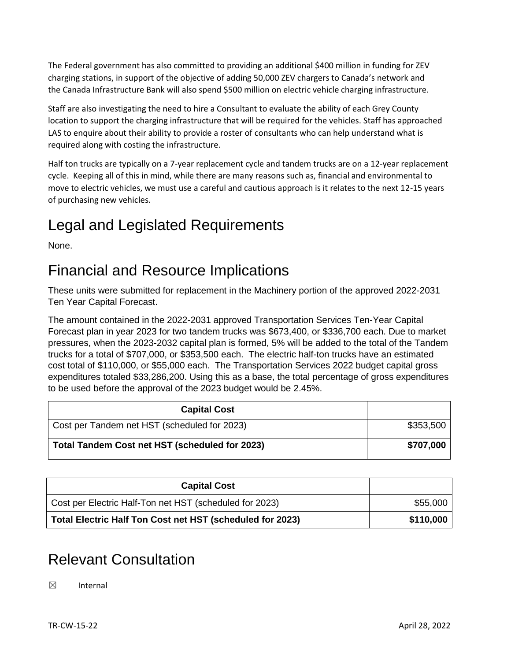The Federal government has also committed to providing an additional \$400 million in funding for ZEV charging stations, in support of the objective of adding 50,000 ZEV chargers to Canada's network and the Canada Infrastructure Bank will also spend \$500 million on electric vehicle charging infrastructure.

Staff are also investigating the need to hire a Consultant to evaluate the ability of each Grey County location to support the charging infrastructure that will be required for the vehicles. Staff has approached LAS to enquire about their ability to provide a roster of consultants who can help understand what is required along with costing the infrastructure.

Half ton trucks are typically on a 7-year replacement cycle and tandem trucks are on a 12-year replacement cycle. Keeping all of this in mind, while there are many reasons such as, financial and environmental to move to electric vehicles, we must use a careful and cautious approach is it relates to the next 12-15 years of purchasing new vehicles.

# Legal and Legislated Requirements

None.

### Financial and Resource Implications

These units were submitted for replacement in the Machinery portion of the approved 2022-2031 Ten Year Capital Forecast.

The amount contained in the 2022-2031 approved Transportation Services Ten-Year Capital Forecast plan in year 2023 for two tandem trucks was \$673,400, or \$336,700 each. Due to market pressures, when the 2023-2032 capital plan is formed, 5% will be added to the total of the Tandem trucks for a total of \$707,000, or \$353,500 each. The electric half-ton trucks have an estimated cost total of \$110,000, or \$55,000 each. The Transportation Services 2022 budget capital gross expenditures totaled \$33,286,200. Using this as a base, the total percentage of gross expenditures to be used before the approval of the 2023 budget would be 2.45%.

| <b>Capital Cost</b>                            |           |
|------------------------------------------------|-----------|
| Cost per Tandem net HST (scheduled for 2023)   | \$353,500 |
| Total Tandem Cost net HST (scheduled for 2023) | \$707,000 |

| <b>Capital Cost</b>                                       |           |
|-----------------------------------------------------------|-----------|
| Cost per Electric Half-Ton net HST (scheduled for 2023)   | \$55,000  |
| Total Electric Half Ton Cost net HST (scheduled for 2023) | \$110,000 |

# Relevant Consultation

☒ Internal